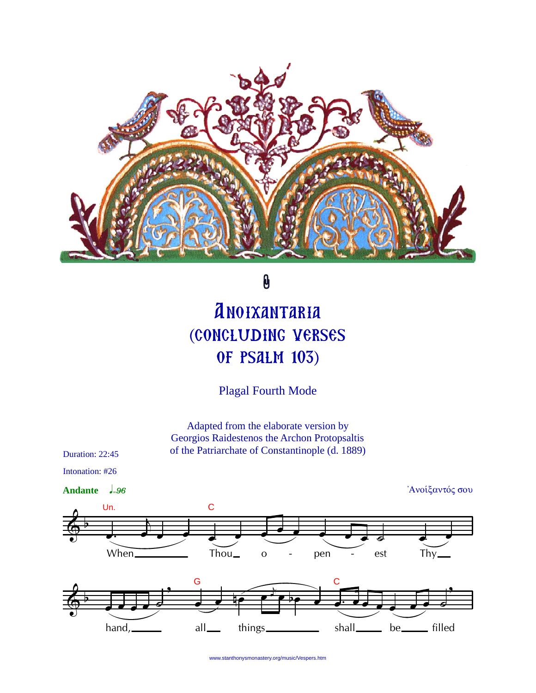

 $\pmb{\theta}$ 

## **ANOIXANTARIA** (CONCLUDING VERSES **OF PSALM 103)**

**Plagal Fourth Mode** 

Adapted from the elaborate version by Georgios Raidestenos the Archon Protopsaltis of the Patriarchate of Constantinople (d. 1889)

Duration: 22:45

Intonation: #26 Ανοίξαντός σου Andante  $\frac{1}{2}.96$  $\overline{C}$ Un. pen When. Thou\_ est Thy  $\mathbf{O}$ G hand, things shall\_\_\_\_\_ be<sub>\_\_\_\_\_</sub> filled all.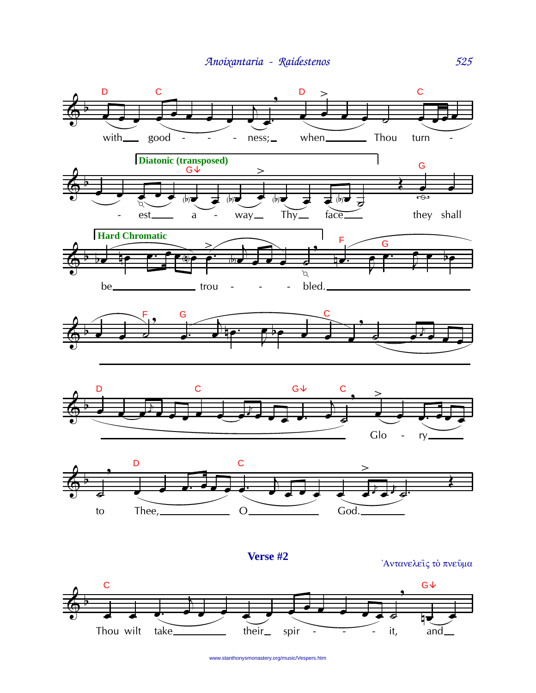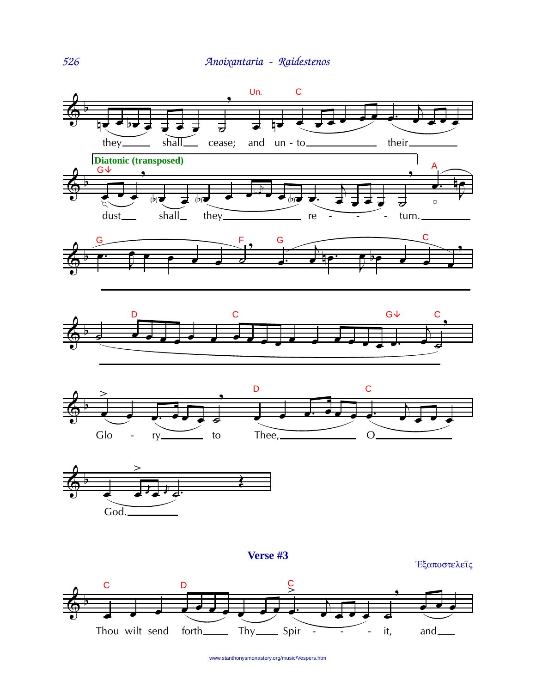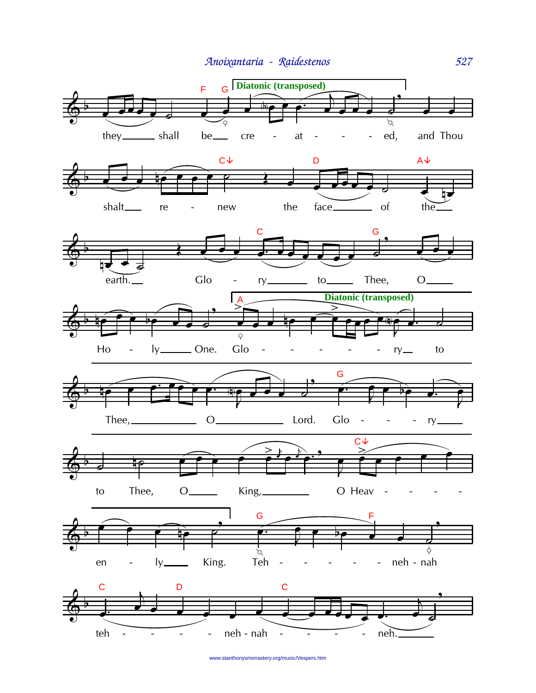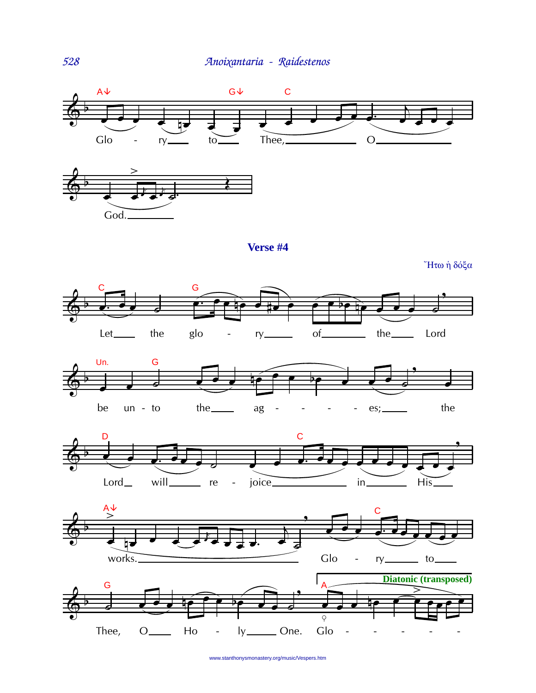





"Ητω ή δόξα









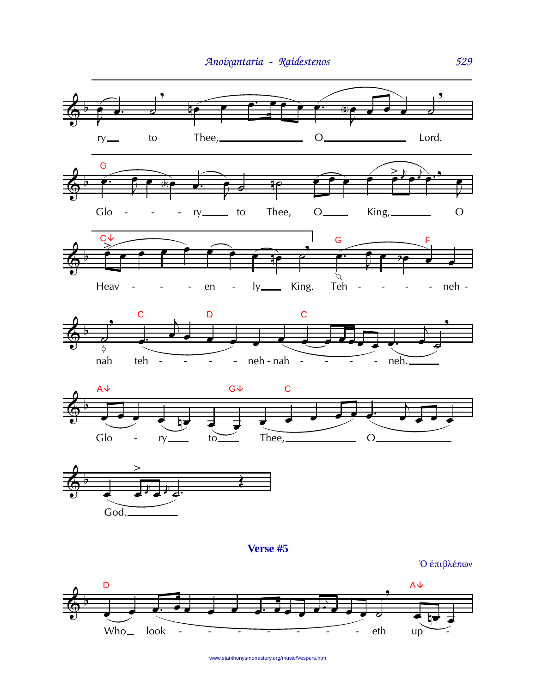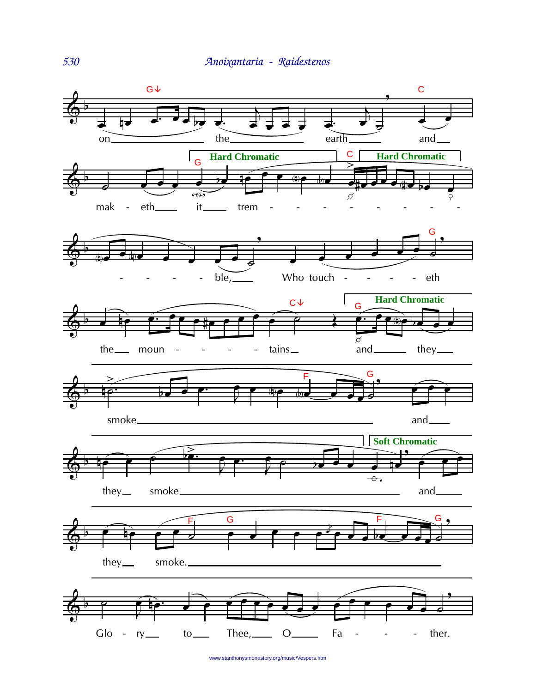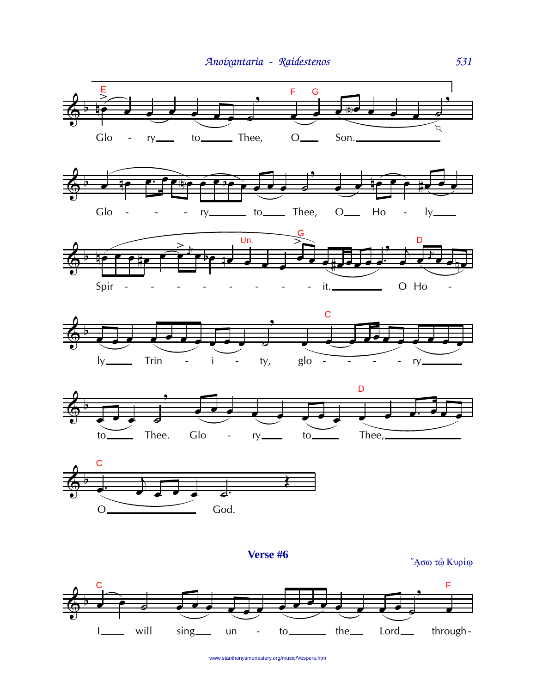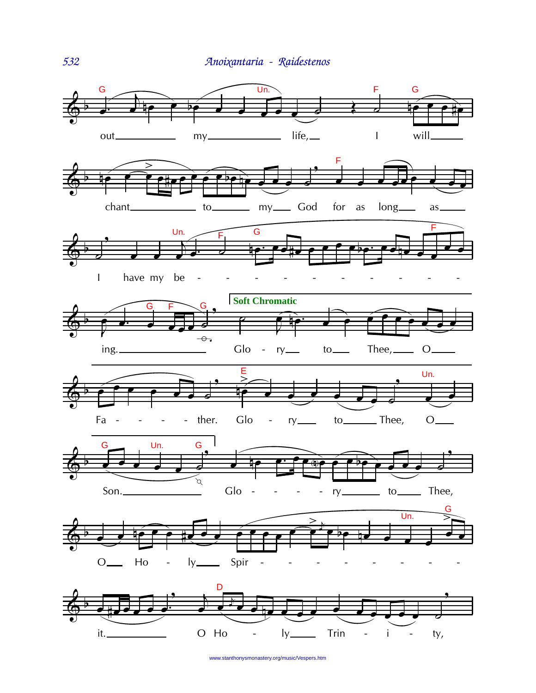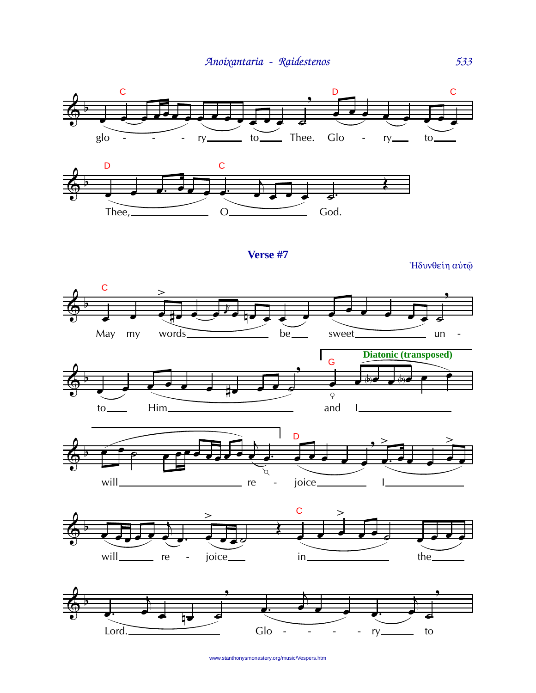



Verse #7

Ήδυνθείη αύτώ











www.stanthonysmonastery.org/music/Vespers.htm

533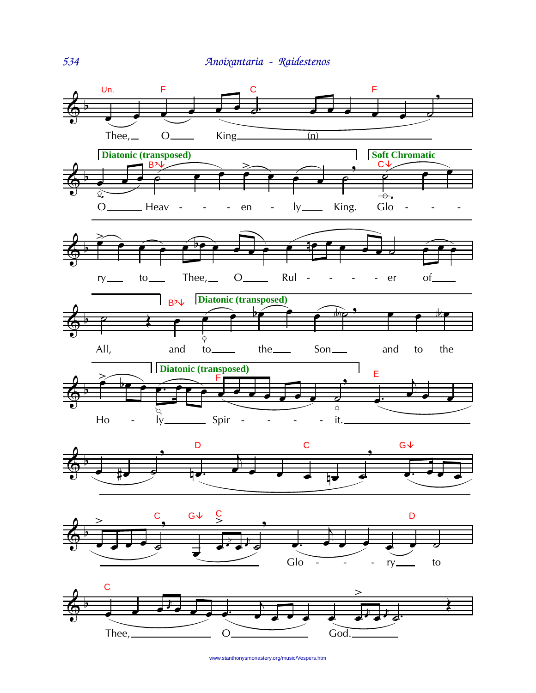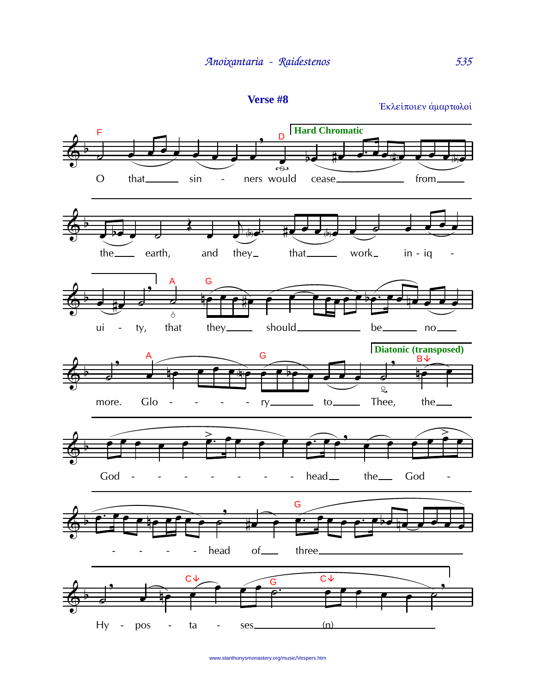

Εκλείποιεν άμαρτωλοί

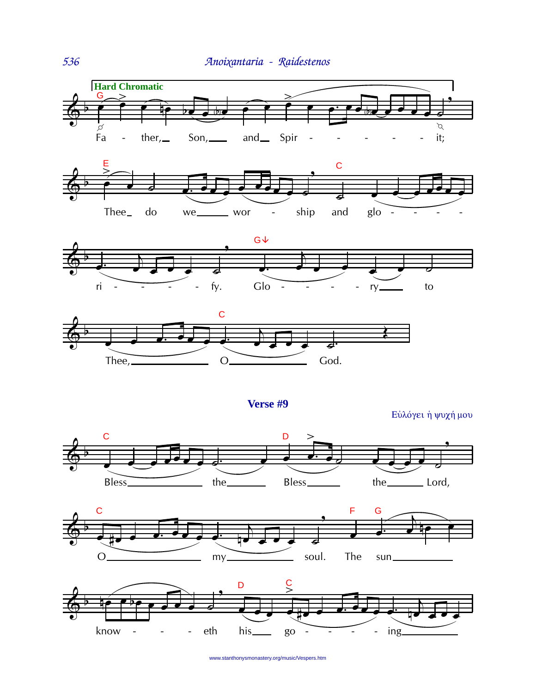







Verse #9

Εύλόγει ή ψυχή μου





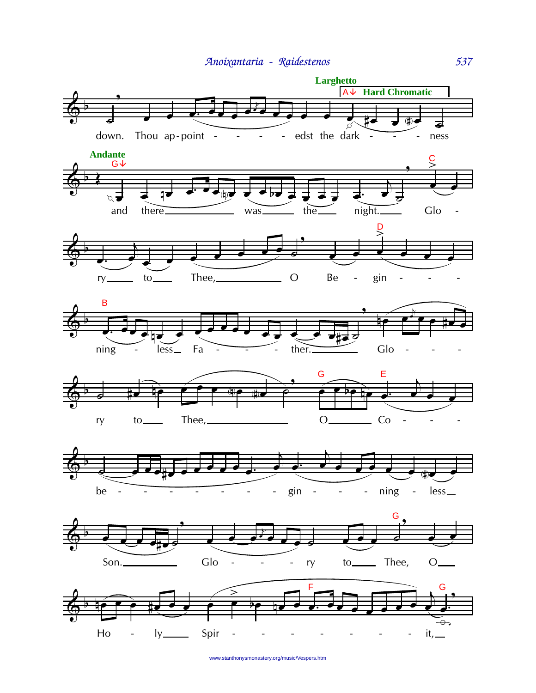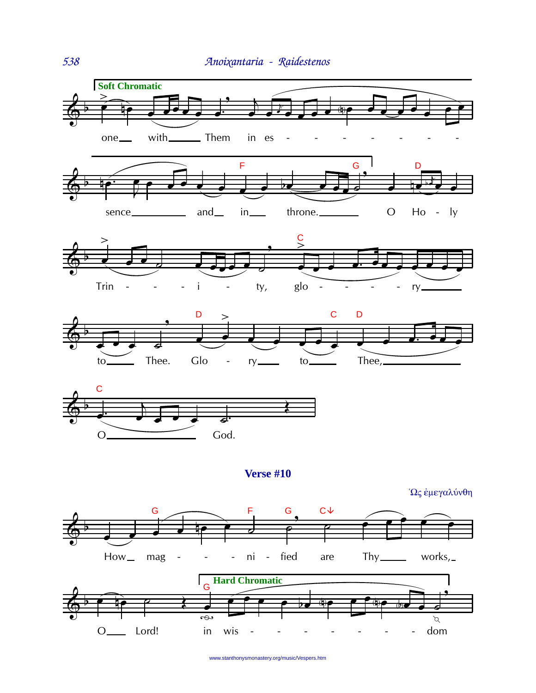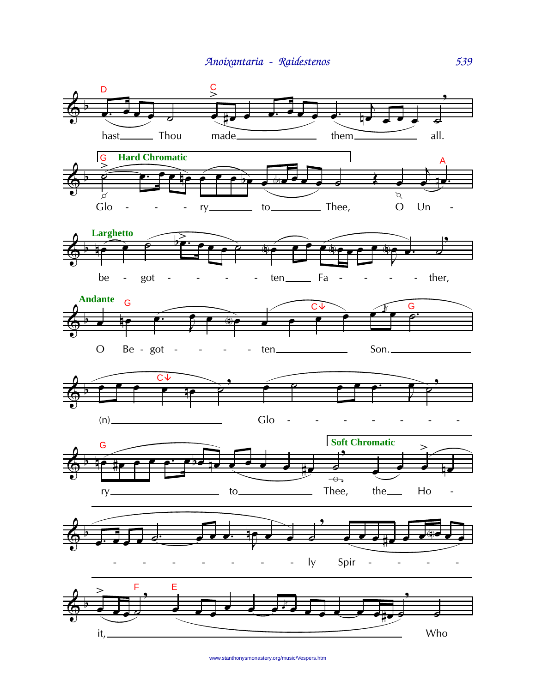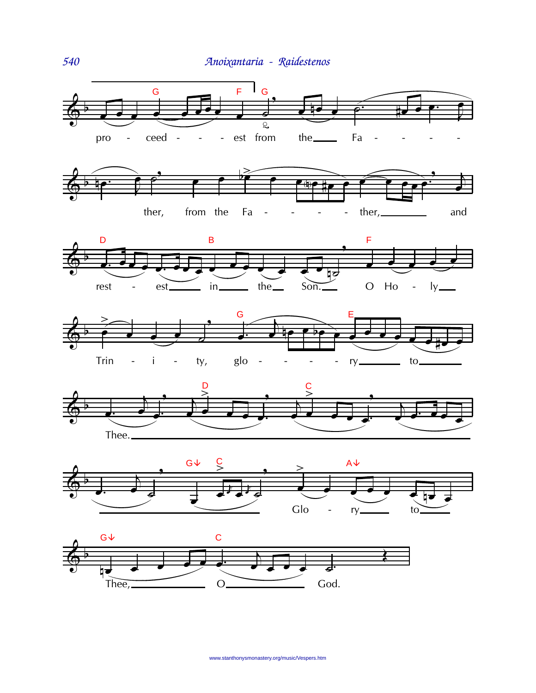

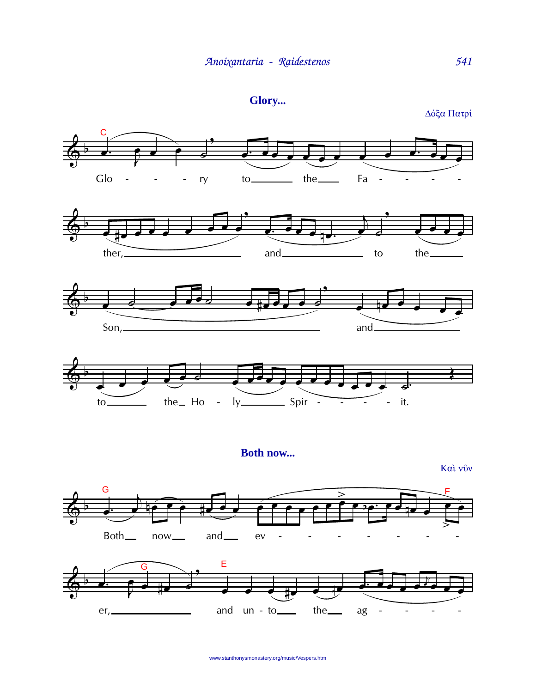```
Glory...
```
C Glo the<sub>\_\_\_\_</sub>  $\frac{10}{2}$ Fa ry  $\overline{\phantom{a}}$  $\overline{\phantom{a}}$  $\overline{\phantom{a}}$ ther $\mu$  $and$ to the\_  $Son, \_\_$  $and$  $\frac{1}{1}$  - it. the Ho -  $ly$  - Spir  $to_$ **Both now...** 

Και νύν





Δόξα Πατρί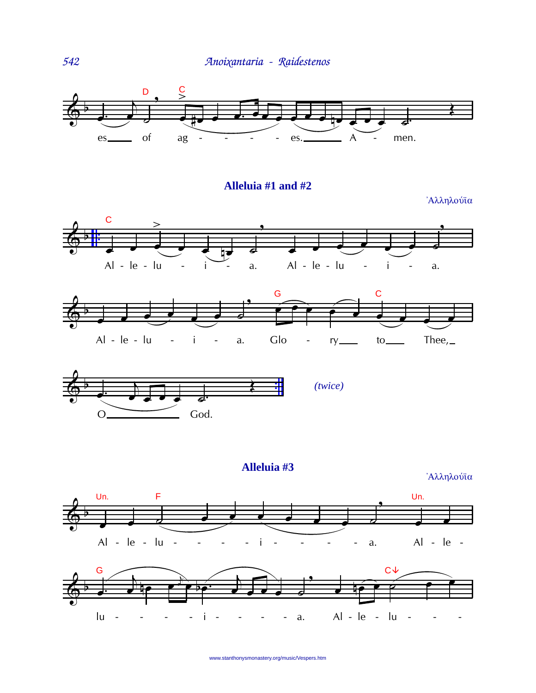

Alleluia #1 and #2

Άλληλούϊα







Alleluia #3

Άλληλούϊα